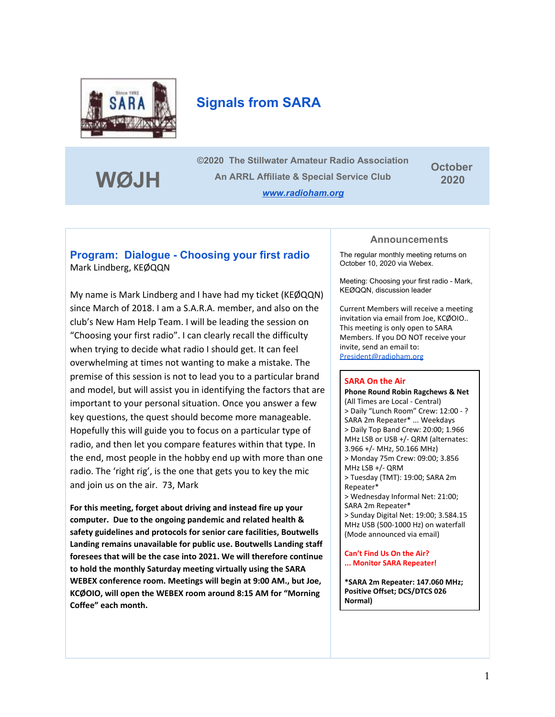

## **Signals from SARA**

**WØJH**

**©2020 The Stillwater Amateur Radio Association An ARRL Affiliate & Special Service Club** *[www.radioham.org](http://www.radioham.org/)*

**October 2020**

#### **Program: Dialogue - Choosing your first radio** Mark Lindberg, KEØQQN

My name is Mark Lindberg and I have had my ticket (KEØQQN) since March of 2018. I am a S.A.R.A. member, and also on the club's New Ham Help Team. I will be leading the session on "Choosing your first radio". I can clearly recall the difficulty when trying to decide what radio I should get. It can feel overwhelming at times not wanting to make a mistake. The premise of this session is not to lead you to a particular brand and model, but will assist you in identifying the factors that are important to your personal situation. Once you answer a few key questions, the quest should become more manageable. Hopefully this will guide you to focus on a particular type of radio, and then let you compare features within that type. In the end, most people in the hobby end up with more than one radio. The 'right rig', is the one that gets you to key the mic and join us on the air. 73, Mark

**For this meeting, forget about driving and instead fire up your computer. Due to the ongoing pandemic and related health & safety guidelines and protocols for senior care facilities, Boutwells Landing remains unavailable for public use. Boutwells Landing staff foresees that will be the case into 2021. We will therefore continue to hold the monthly Saturday meeting virtually using the SARA WEBEX conference room. Meetings will begin at 9:00 AM., but Joe, KCØOIO, will open the WEBEX room around 8:15 AM for "Morning Coffee" each month.**

#### **Announcements**

The regular monthly meeting returns on October 10, 2020 via Webex.

Meeting: Choosing your first radio - Mark, KEØQQN, discussion leader

Current Members will receive a meeting invitation via email from Joe, KCØOIO.. This meeting is only open to SARA Members. If you DO NOT receive your invite, send an email to: [President@radioham.org](mailto:President@radioham.org)

#### **SARA On the Air**

**Phone Round Robin Ragchews & Net** (All Times are Local - Central) > Daily "Lunch Room" Crew: 12:00 - ? SARA 2m Repeater\* ... Weekdays > Daily Top Band Crew: 20:00; 1.966 MHz LSB or USB +/- QRM (alternates: 3.966 +/- MHz, 50.166 MHz) > Monday 75m Crew: 09:00; 3.856 MHz LSB +/- QRM > Tuesday (TMT): 19:00; SARA 2m Repeater\* > Wednesday Informal Net: 21:00; SARA 2m Repeater\* > Sunday Digital Net: 19:00; 3.584.15 MHz USB (500-1000 Hz) on waterfall (Mode announced via email)

**Can't Find Us On the Air? ... Monitor SARA Repeater!**

**\*SARA 2m Repeater: 147.060 MHz; Positive Offset; DCS/DTCS 026 Normal)**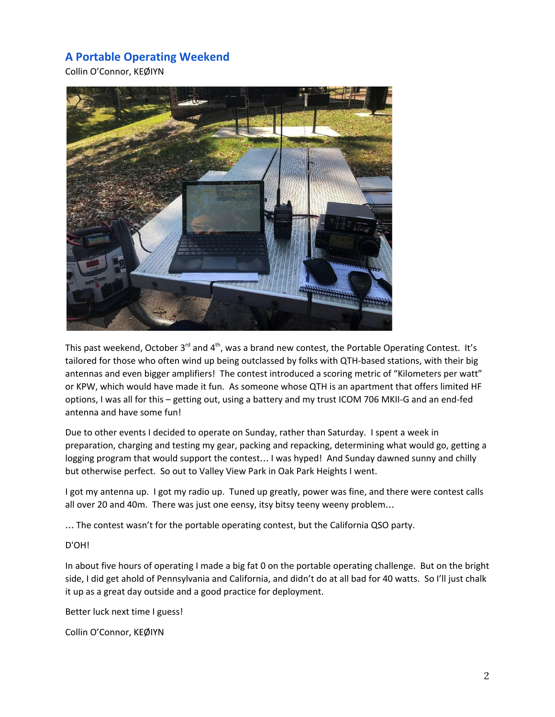### **A Portable Operating Weekend**

Collin O'Connor, KEØIYN



This past weekend, October 3<sup>rd</sup> and 4<sup>th</sup>, was a brand new contest, the Portable Operating Contest. It's tailored for those who often wind up being outclassed by folks with QTH-based stations, with their big antennas and even bigger amplifiers! The contest introduced a scoring metric of "Kilometers per watt" or KPW, which would have made it fun. As someone whose QTH is an apartment that offers limited HF options, I was all for this – getting out, using a battery and my trust ICOM 706 MKII-G and an end-fed antenna and have some fun!

Due to other events I decided to operate on Sunday, rather than Saturday. I spent a week in preparation, charging and testing my gear, packing and repacking, determining what would go, getting a logging program that would support the contest... I was hyped! And Sunday dawned sunny and chilly but otherwise perfect. So out to Valley View Park in Oak Park Heights I went.

I got my antenna up. I got my radio up. Tuned up greatly, power was fine, and there were contest calls all over 20 and 40m. There was just one eensy, itsy bitsy teeny weeny problem…

… The contest wasn't for the portable operating contest, but the California QSO party.

D'OH!

In about five hours of operating I made a big fat 0 on the portable operating challenge. But on the bright side, I did get ahold of Pennsylvania and California, and didn't do at all bad for 40 watts. So I'll just chalk it up as a great day outside and a good practice for deployment.

Better luck next time I guess!

Collin O'Connor, KEØIYN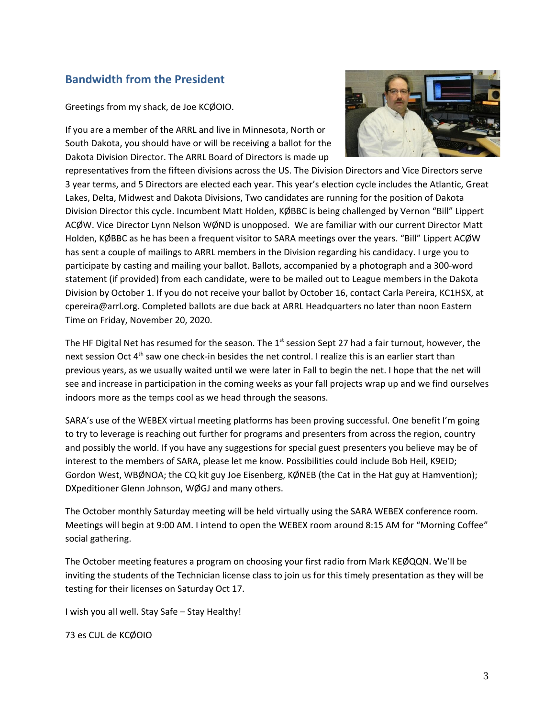### **Bandwidth from the President**

Greetings from my shack, de Joe KCØOIO.

If you are a member of the ARRL and live in Minnesota, North or South Dakota, you should have or will be receiving a ballot for the Dakota Division Director. The ARRL Board of Directors is made up



representatives from the fifteen divisions across the US. The Division Directors and Vice Directors serve 3 year terms, and 5 Directors are elected each year. This year's election cycle includes the Atlantic, Great Lakes, Delta, Midwest and Dakota Divisions, Two candidates are running for the position of Dakota Division Director this cycle. Incumbent Matt Holden, KØBBC is being challenged by Vernon "Bill" Lippert ACØW. Vice Director Lynn Nelson WØND is unopposed. We are familiar with our current Director Matt Holden, KØBBC as he has been a frequent visitor to SARA meetings over the years. "Bill" Lippert ACØW has sent a couple of mailings to ARRL members in the Division regarding his candidacy. I urge you to participate by casting and mailing your ballot. Ballots, accompanied by a photograph and a 300-word statement (if provided) from each candidate, were to be mailed out to League members in the Dakota Division by October 1. If you do not receive your ballot by October 16, contact Carla Pereira, KC1HSX, at cpereira@arrl.org. Completed ballots are due back at ARRL Headquarters no later than noon Eastern Time on Friday, November 20, 2020.

The HF Digital Net has resumed for the season. The 1<sup>st</sup> session Sept 27 had a fair turnout, however, the next session Oct 4<sup>th</sup> saw one check-in besides the net control. I realize this is an earlier start than previous years, as we usually waited until we were later in Fall to begin the net. I hope that the net will see and increase in participation in the coming weeks as your fall projects wrap up and we find ourselves indoors more as the temps cool as we head through the seasons.

SARA's use of the WEBEX virtual meeting platforms has been proving successful. One benefit I'm going to try to leverage is reaching out further for programs and presenters from across the region, country and possibly the world. If you have any suggestions for special guest presenters you believe may be of interest to the members of SARA, please let me know. Possibilities could include Bob Heil, K9EID; Gordon West, WBØNOA; the CQ kit guy Joe Eisenberg, KØNEB (the Cat in the Hat guy at Hamvention); DXpeditioner Glenn Johnson, WØGJ and many others.

The October monthly Saturday meeting will be held virtually using the SARA WEBEX conference room. Meetings will begin at 9:00 AM. I intend to open the WEBEX room around 8:15 AM for "Morning Coffee" social gathering.

The October meeting features a program on choosing your first radio from Mark KEØQQN. We'll be inviting the students of the Technician license class to join us for this timely presentation as they will be testing for their licenses on Saturday Oct 17.

I wish you all well. Stay Safe – Stay Healthy!

73 es CUL de KCØOIO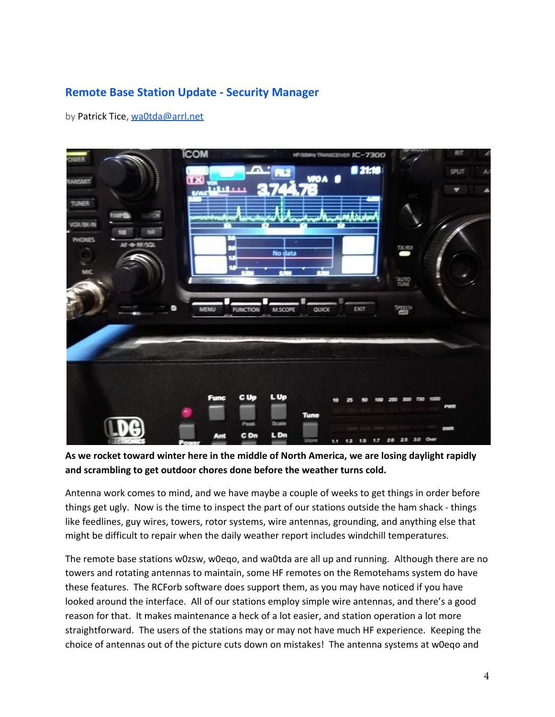### **Remote Base Station Update - Security Manager**

by Patrick Tice, [wa0tda@arrl.net](mailto:wa0tda@arrl.net)



**As we rocket toward winter here in the middle of North America, we are losing daylight rapidly and scrambling to get outdoor chores done before the weather turns cold.**

Antenna work comes to mind, and we have maybe a couple of weeks to get things in order before things get ugly. Now is the time to inspect the part of our stations outside the ham shack - things like feedlines, guy wires, towers, rotor systems, wire antennas, grounding, and anything else that might be difficult to repair when the daily weather report includes windchill temperatures.

The remote base stations w0zsw, w0eqo, and wa0tda are all up and running. Although there are no towers and rotating antennas to maintain, some HF remotes on the Remotehams system do have these features. The RCForb software does support them, as you may have noticed if you have looked around the interface. All of our stations employ simple wire antennas, and there's a good reason for that. It makes maintenance a heck of a lot easier, and station operation a lot more straightforward. The users of the stations may or may not have much HF experience. Keeping the choice of antennas out of the picture cuts down on mistakes! The antenna systems at w0eqo and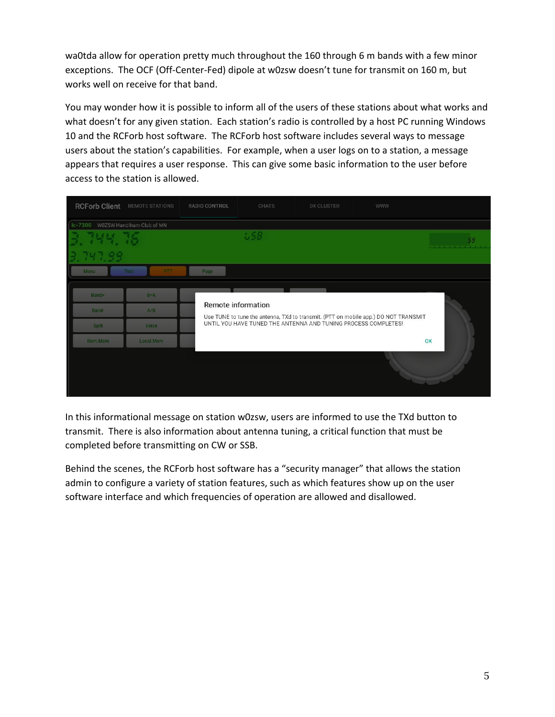wa0tda allow for operation pretty much throughout the 160 through 6 m bands with a few minor exceptions. The OCF (Off-Center-Fed) dipole at w0zsw doesn't tune for transmit on 160 m, but works well on receive for that band.

You may wonder how it is possible to inform all of the users of these stations about what works and what doesn't for any given station. Each station's radio is controlled by a host PC running Windows 10 and the RCForb host software. The RCForb host software includes several ways to message users about the station's capabilities. For example, when a user logs on to a station, a message appears that requires a user response. This can give some basic information to the user before access to the station is allowed.

| <b>RCForb Client</b>              | REMOTE STATIONS | RADIO CONTROL      | <b>CHATS</b> | <b>DX CLUSTER</b>                                                                                                                                     | <b>WWW</b> |                                                  |
|-----------------------------------|-----------------|--------------------|--------------|-------------------------------------------------------------------------------------------------------------------------------------------------------|------------|--------------------------------------------------|
| Ic-7300 W0ZSW Handiham Club of MN |                 |                    |              |                                                                                                                                                       |            |                                                  |
|                                   |                 |                    | L S H        |                                                                                                                                                       |            | 59.<br>the time time and a private time when the |
|                                   |                 |                    |              |                                                                                                                                                       |            |                                                  |
| Menu                              | Test<br>PTT     | Page               |              |                                                                                                                                                       |            |                                                  |
| Band+                             | $B = A$         |                    |              |                                                                                                                                                       |            |                                                  |
| Band-                             | A/B             | Remote information |              |                                                                                                                                                       |            |                                                  |
| <b>Split</b>                      | Voice           |                    |              | Use TUNE to tune the antenna, TXd to transmit. (PTT on mobile app.) DO NOT TRANSMIT<br>UNTIL YOU HAVE TUNED THE ANTENNA AND TUNING PROCESS COMPLETES! |            |                                                  |
| Rem.Mem                           | Local Mem       |                    |              |                                                                                                                                                       |            | OK                                               |
|                                   |                 |                    |              |                                                                                                                                                       |            |                                                  |

In this informational message on station w0zsw, users are informed to use the TXd button to transmit. There is also information about antenna tuning, a critical function that must be completed before transmitting on CW or SSB.

Behind the scenes, the RCForb host software has a "security manager" that allows the station admin to configure a variety of station features, such as which features show up on the user software interface and which frequencies of operation are allowed and disallowed.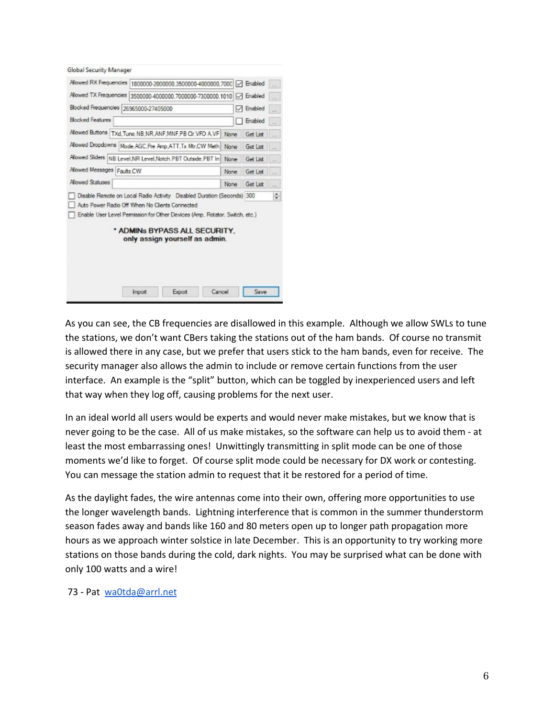| Global Security Manager                                                     |                                                |                                                                 |        |      |      |                         |        |
|-----------------------------------------------------------------------------|------------------------------------------------|-----------------------------------------------------------------|--------|------|------|-------------------------|--------|
| Allowed RX Frequencies                                                      | 1800000-2000000.3500000-4000000.7000   Enabled |                                                                 |        |      |      |                         |        |
| Allowed TX Frequencies                                                      | 3500000-4000000.7000000-7300000.1010 M Enabled |                                                                 |        |      |      |                         |        |
| Blocked Frequencies 26965000-27405000                                       |                                                |                                                                 |        |      |      | $\triangledown$ Enabled | u.     |
| <b>Blocked Features</b>                                                     |                                                |                                                                 |        |      |      | Enabled                 | ш.     |
| Allowed Buttons   TXd, Tune, NB, NR, ANF, MNF, PB CIr, VFO A, VF            |                                                |                                                                 |        |      | None | Get List                | sis i  |
| Allowed Dropdowns   Mode, AGC, Pre Amp, ATT, Tx Mtr, CW Meth                |                                                |                                                                 |        | None |      | Get List                | in i   |
| Allowed Siders   NB Level, NR Level, Notch, PBT Outside, PBT In             |                                                |                                                                 |        |      | None | Get List                | a.     |
| Allowed Messages Faults.CW                                                  |                                                |                                                                 |        |      | None | Get List                | $\sim$ |
| Allowed Statuses                                                            |                                                |                                                                 |        | None |      | Get List                |        |
| Disable Remote on Local Radio Activity Disabled Duration (Seconds) 300      |                                                |                                                                 |        |      |      |                         | ÷      |
| Auto Power Radio Off When No Clients Connected                              |                                                |                                                                 |        |      |      |                         |        |
| Enable User Level Permission for Other Devices (Amp. Rotator, Switch, etc.) |                                                |                                                                 |        |      |      |                         |        |
|                                                                             |                                                | * ADMINS BYPASS ALL SECURITY.<br>only assign yourself as admin. |        |      |      |                         |        |
|                                                                             | <b>Import</b>                                  | Export                                                          | Cancel |      |      | Save                    |        |

As you can see, the CB frequencies are disallowed in this example. Although we allow SWLs to tune the stations, we don't want CBers taking the stations out of the ham bands. Of course no transmit is allowed there in any case, but we prefer that users stick to the ham bands, even for receive. The security manager also allows the admin to include or remove certain functions from the user interface. An example is the "split" button, which can be toggled by inexperienced users and left that way when they log off, causing problems for the next user.

In an ideal world all users would be experts and would never make mistakes, but we know that is never going to be the case. All of us make mistakes, so the software can help us to avoid them - at least the most embarrassing ones! Unwittingly transmitting in split mode can be one of those moments we'd like to forget. Of course split mode could be necessary for DX work or contesting. You can message the station admin to request that it be restored for a period of time.

As the daylight fades, the wire antennas come into their own, offering more opportunities to use the longer wavelength bands. Lightning interference that is common in the summer thunderstorm season fades away and bands like 160 and 80 meters open up to longer path propagation more hours as we approach winter solstice in late December. This is an opportunity to try working more stations on those bands during the cold, dark nights. You may be surprised what can be done with only 100 watts and a wire!

73 - Pat waOtda@arrl.net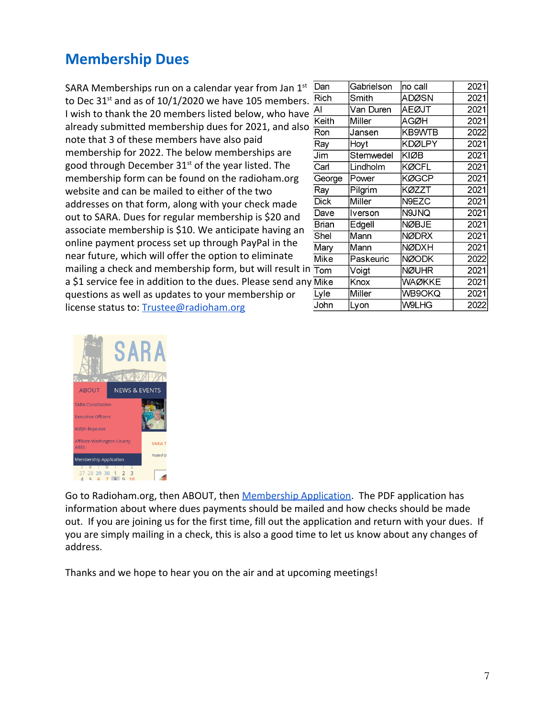# **Membership Dues**

SARA Memberships run on a calendar year from Jan  $1<sup>st</sup>$ to Dec  $31^{st}$  and as of  $10/1/2020$  we have 105 members. I wish to thank the 20 members listed below, who have already submitted membership dues for 2021, and also note that 3 of these members have also paid membership for 2022. The below memberships are good through December 31<sup>st</sup> of the year listed. The membership form can be found on the radioham.org website and can be mailed to either of the two addresses on that form, along with your check made out to SARA. Dues for regular membership is \$20 and associate membership is \$10. We anticipate having an online payment process set up through PayPal in the near future, which will offer the option to eliminate mailing a check and membership form, but will result in a \$1 service fee in addition to the dues. Please send any questions as well as updates to your membership or license status to: [Trustee@radioham.org](mailto:Trustee@radioham.org)

| Dan    | Gabrielson | no call       | 2021 |
|--------|------------|---------------|------|
| Rich   | Smith      | ADØSN         | 2021 |
| Al     | Van Duren  | AEØJT         | 2021 |
| Keith  | Miller     | AGØH          | 2021 |
| Ron    | Jansen     | KB9WTB        | 2022 |
| Ray    | Hoyt       | <b>KDØLPY</b> | 2021 |
| Jim    | Stemwedel  | <b>KIØB</b>   | 2021 |
| Carl   | Lindholm   | <b>KØCFL</b>  | 2021 |
| George | Power      | KØGCP         | 2021 |
| Ray    | Pilgrim    | KØZZT         | 2021 |
| Dick   | Miller     | N9EZC         | 2021 |
| Dave   | Iverson    | N9JNQ         | 2021 |
| Brian  | Edgell     | <b>NØBJE</b>  | 2021 |
| Shel   | Mann       | <b>NØDRX</b>  | 2021 |
| Mary   | Mann       | NØDXH         | 2021 |
| Mike   | Paskeuric  | <b>NØODK</b>  | 2022 |
| Tom    | Voigt      | <b>NØUHR</b>  | 2021 |
| Mike   | Knox       | <b>WAØKKE</b> | 2021 |
| Lyle   | Miller     | <b>WB9OKQ</b> | 2021 |
| John   | Lyon       | <b>W9LHG</b>  | 2022 |



Go to Radioham.org, then ABOUT, then [Membership Application.](http://www.radioham.org/radioham_files/wp-content/uploads/2018/01/MemberAppForm1801_Fillable.pdf) The PDF application has information about where dues payments should be mailed and how checks should be made out. If you are joining us for the first time, fill out the application and return with your dues. If you are simply mailing in a check, this is also a good time to let us know about any changes of address.

Thanks and we hope to hear you on the air and at upcoming meetings!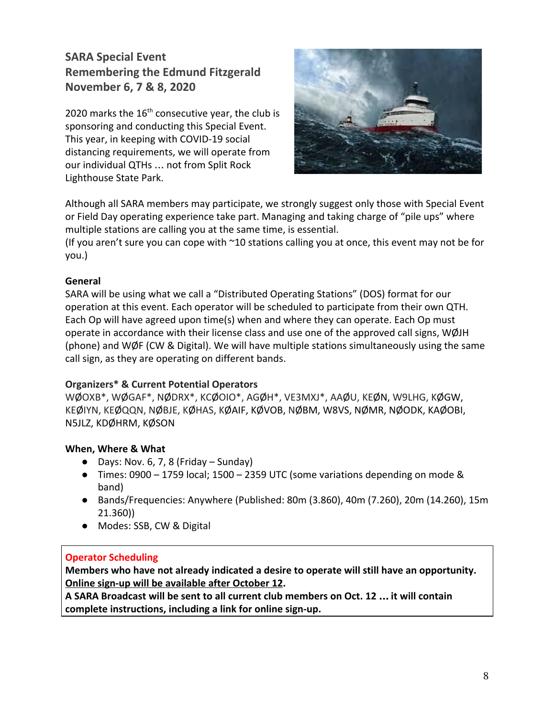### **SARA Special Event Remembering the Edmund Fitzgerald November 6, 7 & 8, 2020**

2020 marks the  $16<sup>th</sup>$  consecutive year, the club is sponsoring and conducting this Special Event. This year, in keeping with COVID-19 social distancing requirements, we will operate from our individual QTHs … not from Split Rock Lighthouse State Park.



Although all SARA members may participate, we strongly suggest only those with Special Event or Field Day operating experience take part. Managing and taking charge of "pile ups" where multiple stations are calling you at the same time, is essential.

(If you aren't sure you can cope with ~10 stations calling you at once, this event may not be for you.)

#### **General**

SARA will be using what we call a "Distributed Operating Stations" (DOS) format for our operation at this event. Each operator will be scheduled to participate from their own QTH. Each Op will have agreed upon time(s) when and where they can operate. Each Op must operate in accordance with their license class and use one of the approved call signs, WØJH (phone) and WØF (CW & Digital). We will have multiple stations simultaneously using the same call sign, as they are operating on different bands.

#### **Organizers\* & Current Potential Operators**

WØOXB\*, WØGAF\*, NØDRX\*, KCØOIO\*, AGØH\*, VE3MXJ\*, AAØU, KEØN, W9LHG, KØGW, KEØIYN, KEØQQN, NØBJE, KØHAS, KØAIF, KØVOB, NØBM, W8VS, NØMR, NØODK, KAØOBI, N5JLZ, KDØHRM, KØSON

#### **When, Where & What**

- Days: Nov. 6, 7, 8 (Friday Sunday)
- Times: 0900 1759 local; 1500 2359 UTC (some variations depending on mode & band)
- Bands/Frequencies: Anywhere (Published: 80m (3.860), 40m (7.260), 20m (14.260), 15m 21.360))
- Modes: SSB, CW & Digital

#### **Operator Scheduling**

**Members who have not already indicated a desire to operate will still have an opportunity. Online sign-up will be available after October 12.**

**A SARA Broadcast will be sent to all current club members on Oct. 12** … **it will contain complete instructions, including a link for online sign-up.**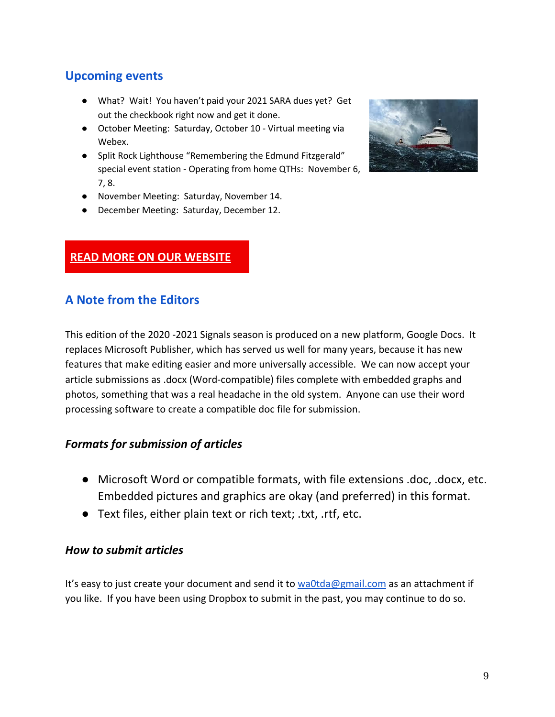### **Upcoming events**

- What? Wait! You haven't paid your 2021 SARA dues yet? Get out the checkbook right now and get it done.
- October Meeting: Saturday, October 10 Virtual meeting via Webex.
- Split Rock Lighthouse "Remembering the Edmund Fitzgerald" special event station - Operating from home QTHs: November 6, 7, 8.
- November Meeting: Saturday, November 14.
- December Meeting: Saturday, December 12.



### **READ MORE ON OUR [WEBSITE](http://www.radioham.org/)**

### **A Note from the Editors**

This edition of the 2020 -2021 Signals season is produced on a new platform, Google Docs. It replaces Microsoft Publisher, which has served us well for many years, because it has new features that make editing easier and more universally accessible. We can now accept your article submissions as .docx (Word-compatible) files complete with embedded graphs and photos, something that was a real headache in the old system. Anyone can use their word processing software to create a compatible doc file for submission.

### *Formats for submission of articles*

- Microsoft Word or compatible formats, with file extensions .doc, .docx, etc. Embedded pictures and graphics are okay (and preferred) in this format.
- Text files, either plain text or rich text; .txt, .rtf, etc.

#### *How to submit articles*

It's easy to just create your document and send it to  $w$ a0tda@gmail.com as an attachment if you like. If you have been using Dropbox to submit in the past, you may continue to do so.